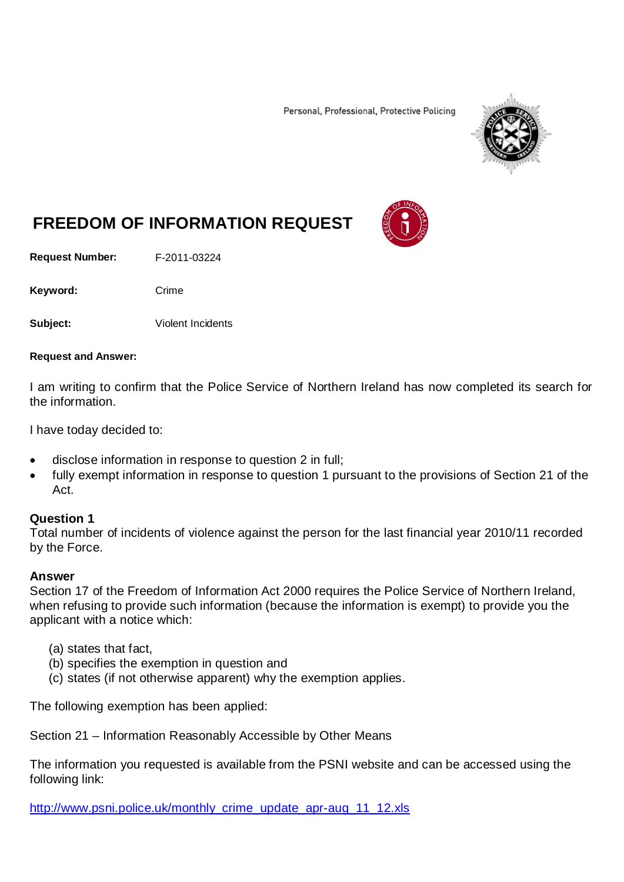Personal, Professional, Protective Policing



# **FREEDOM OF INFORMATION REQUEST**

**Request Number:** F-2011-03224

Keyword: Crime

**Subject:** Violent Incidents

#### **Request and Answer:**

I am writing to confirm that the Police Service of Northern Ireland has now completed its search for the information.

I have today decided to:

- disclose information in response to question 2 in full;
- fully exempt information in response to question 1 pursuant to the provisions of Section 21 of the Act.

#### **Question 1**

Total number of incidents of violence against the person for the last financial year 2010/11 recorded by the Force.

#### **Answer**

Section 17 of the Freedom of Information Act 2000 requires the Police Service of Northern Ireland, when refusing to provide such information (because the information is exempt) to provide you the applicant with a notice which:

- (a) states that fact,
- (b) specifies the exemption in question and
- (c) states (if not otherwise apparent) why the exemption applies.

The following exemption has been applied:

Section 21 – Information Reasonably Accessible by Other Means

The information you requested is available from the PSNI website and can be accessed using the following link:

[http://www.psni.police.uk/monthly\\_crime\\_update\\_apr-aug\\_11\\_12.xls](http://www.psni.police.uk/monthly_crime_update_apr-aug_11_12.xls)